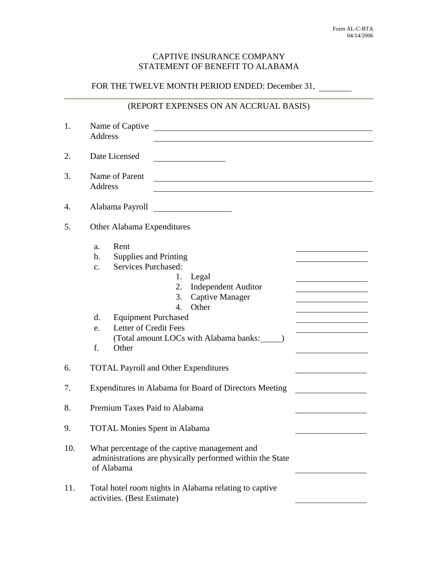## CAPTIVE INSURANCE COMPANY STATEMENT OF BENEFIT TO ALABAMA

## FOR THE TWELVE MONTH PERIOD ENDED: December 31,

## (REPORT EXPENSES ON AN ACCRUAL BASIS)

| 1.  | Name of Captive<br><b>Address</b>                                                                                                                                                                                                                                                                                                             |
|-----|-----------------------------------------------------------------------------------------------------------------------------------------------------------------------------------------------------------------------------------------------------------------------------------------------------------------------------------------------|
| 2.  | Date Licensed                                                                                                                                                                                                                                                                                                                                 |
| 3.  | Name of Parent<br><b>Address</b>                                                                                                                                                                                                                                                                                                              |
| 4.  | Alabama Payroll                                                                                                                                                                                                                                                                                                                               |
| 5.  | Other Alabama Expenditures                                                                                                                                                                                                                                                                                                                    |
|     | Rent<br>a.<br><b>Supplies and Printing</b><br>b.<br>Services Purchased:<br>$\mathbf{c}$ .<br>Legal<br>1.<br><b>Independent Auditor</b><br>2.<br>3.<br><b>Captive Manager</b><br>Other<br>$\overline{4}$ .<br>d.<br><b>Equipment Purchased</b><br>Letter of Credit Fees<br>e.<br>(Total amount LOCs with Alabama banks: ______)<br>f.<br>Other |
| 6.  | <b>TOTAL Payroll and Other Expenditures</b>                                                                                                                                                                                                                                                                                                   |
| 7.  | Expenditures in Alabama for Board of Directors Meeting                                                                                                                                                                                                                                                                                        |
| 8.  | Premium Taxes Paid to Alabama                                                                                                                                                                                                                                                                                                                 |
| 9.  | <b>TOTAL Monies Spent in Alabama</b>                                                                                                                                                                                                                                                                                                          |
| 10. | What percentage of the captive management and<br>administrations are physically performed within the State<br>of Alabama                                                                                                                                                                                                                      |
| 11. | Total hotel room nights in Alabama relating to captive<br>activities. (Best Estimate)                                                                                                                                                                                                                                                         |